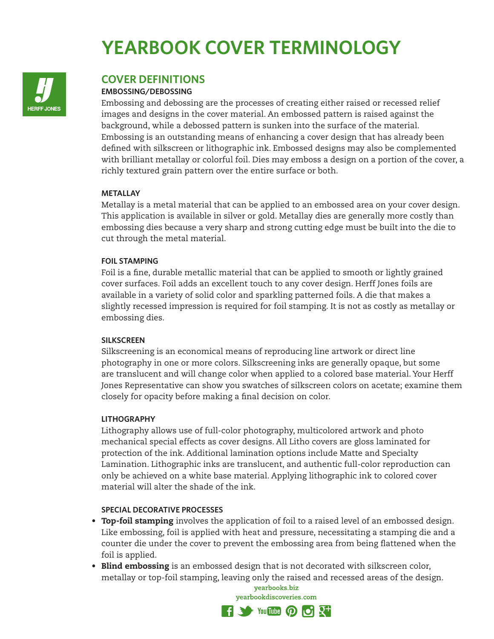# **YEARBOOK COVER TERMINOLOGY**



# **COVER DEFINITIONS**

#### **EMBOSSING/DEBOSSING**

Embossing and debossing are the processes of creating either raised or recessed relief images and designs in the cover material. An embossed pattern is raised against the background, while a debossed pattern is sunken into the surface of the material. Embossing is an outstanding means of enhancing a cover design that has already been defined with silkscreen or lithographic ink. Embossed designs may also be complemented with brilliant metallay or colorful foil. Dies may emboss a design on a portion of the cover, a richly textured grain pattern over the entire surface or both.

#### **METALLAY**

Metallay is a metal material that can be applied to an embossed area on your cover design. This application is available in silver or gold. Metallay dies are generally more costly than embossing dies because a very sharp and strong cutting edge must be built into the die to cut through the metal material.

#### **FOIL STAMPING**

Foil is a fine, durable metallic material that can be applied to smooth or lightly grained cover surfaces. Foil adds an excellent touch to any cover design. Herff Jones foils are available in a variety of solid color and sparkling patterned foils. A die that makes a slightly recessed impression is required for foil stamping. It is not as costly as metallay or embossing dies.

## **SILKSCREEN**

Silkscreening is an economical means of reproducing line artwork or direct line photography in one or more colors. Silkscreening inks are generally opaque, but some are translucent and will change color when applied to a colored base material. Your Herff Jones Representative can show you swatches of silkscreen colors on acetate; examine them closely for opacity before making a final decision on color.

#### **LITHOGRAPHY**

Lithography allows use of full-color photography, multicolored artwork and photo mechanical special effects as cover designs. All Litho covers are gloss laminated for protection of the ink. Additional lamination options include Matte and Specialty Lamination. Lithographic inks are translucent, and authentic full-color reproduction can only be achieved on a white base material. Applying lithographic ink to colored cover material will alter the shade of the ink.

## **SPECIAL DECORATIVE PROCESSES**

- Top-foil stamping involves the application of foil to a raised level of an embossed design. Like embossing, foil is applied with heat and pressure, necessitating a stamping die and a counter die under the cover to prevent the embossing area from being flattened when the foil is applied.
- Blind embossing is an embossed design that is not decorated with silkscreen color, metallay or top-foil stamping, leaving only the raised and recessed areas of the design.

yearbooks.biz yearbookdiscoveries.com  $\mathbf{F}$  3 You this  $\mathbf{D}$  of  $\mathbb{R}^+$